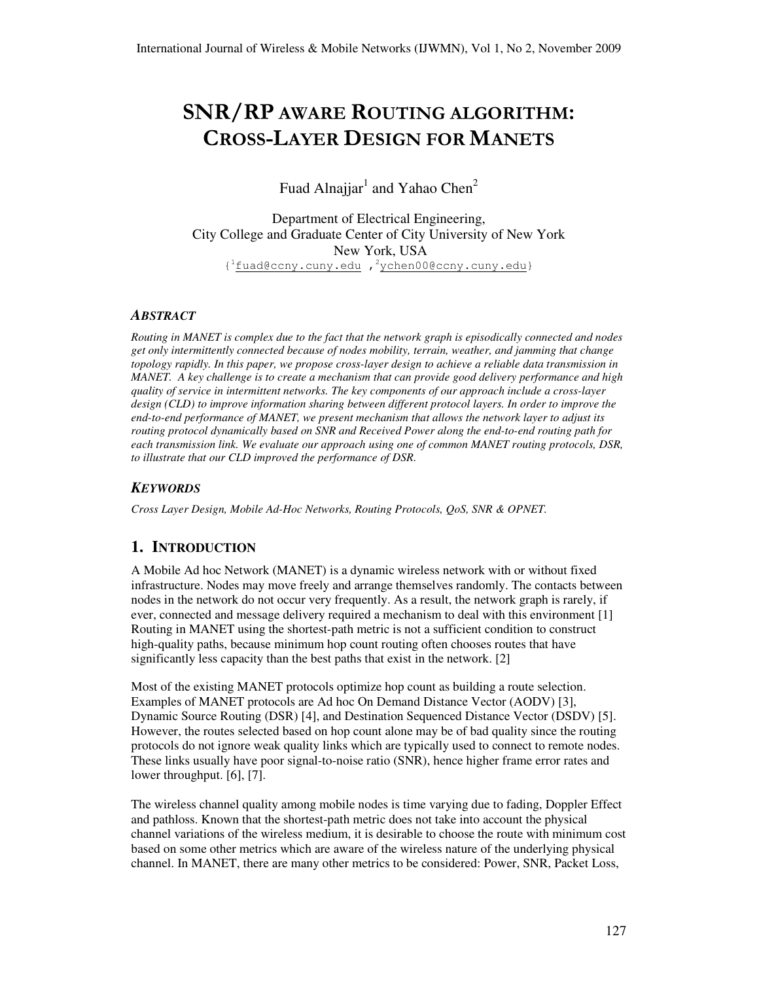# SNR/RP AWARE ROUTING ALGORITHM: CROSS-LAYER DESIGN FOR MANETS

Fuad Alnajjar $^1$  and Yahao Chen<sup>2</sup>

Department of Electrical Engineering, City College and Graduate Center of City University of New York New York, USA { <sup>1</sup>fuad@ccny.cuny.edu , <sup>2</sup>ychen00@ccny.cuny.edu}

#### *ABSTRACT*

*Routing in MANET is complex due to the fact that the network graph is episodically connected and nodes get only intermittently connected because of nodes mobility, terrain, weather, and jamming that change topology rapidly. In this paper, we propose cross-layer design to achieve a reliable data transmission in MANET. A key challenge is to create a mechanism that can provide good delivery performance and high quality of service in intermittent networks. The key components of our approach include a cross-layer design (CLD) to improve information sharing between different protocol layers. In order to improve the end-to-end performance of MANET, we present mechanism that allows the network layer to adjust its routing protocol dynamically based on SNR and Received Power along the end-to-end routing path for each transmission link. We evaluate our approach using one of common MANET routing protocols, DSR, to illustrate that our CLD improved the performance of DSR.* 

#### *KEYWORDS*

*Cross Layer Design, Mobile Ad-Hoc Networks, Routing Protocols, QoS, SNR & OPNET.* 

## **1. INTRODUCTION**

A Mobile Ad hoc Network (MANET) is a dynamic wireless network with or without fixed infrastructure. Nodes may move freely and arrange themselves randomly. The contacts between nodes in the network do not occur very frequently. As a result, the network graph is rarely, if ever, connected and message delivery required a mechanism to deal with this environment [1] Routing in MANET using the shortest-path metric is not a sufficient condition to construct high-quality paths, because minimum hop count routing often chooses routes that have significantly less capacity than the best paths that exist in the network. [2]

Most of the existing MANET protocols optimize hop count as building a route selection. Examples of MANET protocols are Ad hoc On Demand Distance Vector (AODV) [3], Dynamic Source Routing (DSR) [4], and Destination Sequenced Distance Vector (DSDV) [5]. However, the routes selected based on hop count alone may be of bad quality since the routing protocols do not ignore weak quality links which are typically used to connect to remote nodes. These links usually have poor signal-to-noise ratio (SNR), hence higher frame error rates and lower throughput. [6], [7].

The wireless channel quality among mobile nodes is time varying due to fading, Doppler Effect and pathloss. Known that the shortest-path metric does not take into account the physical channel variations of the wireless medium, it is desirable to choose the route with minimum cost based on some other metrics which are aware of the wireless nature of the underlying physical channel. In MANET, there are many other metrics to be considered: Power, SNR, Packet Loss,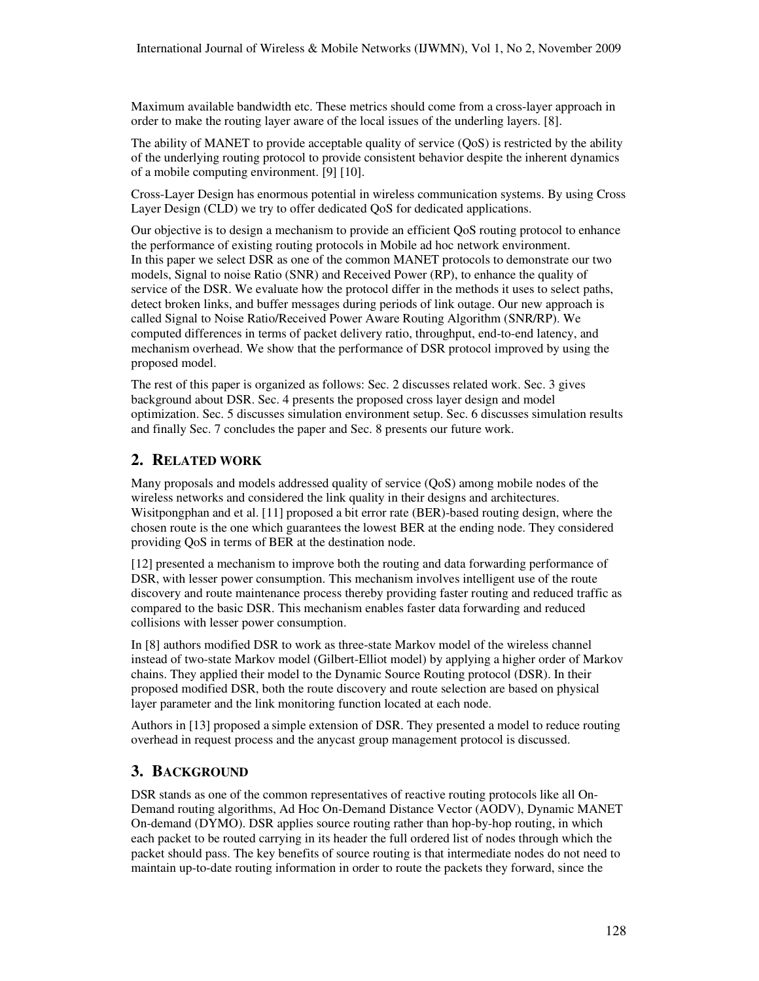Maximum available bandwidth etc. These metrics should come from a cross-layer approach in order to make the routing layer aware of the local issues of the underling layers. [8].

The ability of MANET to provide acceptable quality of service (QoS) is restricted by the ability of the underlying routing protocol to provide consistent behavior despite the inherent dynamics of a mobile computing environment. [9] [10].

Cross-Layer Design has enormous potential in wireless communication systems. By using Cross Layer Design (CLD) we try to offer dedicated QoS for dedicated applications.

Our objective is to design a mechanism to provide an efficient QoS routing protocol to enhance the performance of existing routing protocols in Mobile ad hoc network environment. In this paper we select DSR as one of the common MANET protocols to demonstrate our two models, Signal to noise Ratio (SNR) and Received Power (RP), to enhance the quality of service of the DSR. We evaluate how the protocol differ in the methods it uses to select paths, detect broken links, and buffer messages during periods of link outage. Our new approach is called Signal to Noise Ratio/Received Power Aware Routing Algorithm (SNR/RP). We computed differences in terms of packet delivery ratio, throughput, end-to-end latency, and mechanism overhead. We show that the performance of DSR protocol improved by using the proposed model.

The rest of this paper is organized as follows: Sec. 2 discusses related work. Sec. 3 gives background about DSR. Sec. 4 presents the proposed cross layer design and model optimization. Sec. 5 discusses simulation environment setup. Sec. 6 discusses simulation results and finally Sec. 7 concludes the paper and Sec. 8 presents our future work.

## **2. RELATED WORK**

Many proposals and models addressed quality of service (QoS) among mobile nodes of the wireless networks and considered the link quality in their designs and architectures. Wisitpongphan and et al. [11] proposed a bit error rate (BER)-based routing design, where the chosen route is the one which guarantees the lowest BER at the ending node. They considered providing QoS in terms of BER at the destination node.

[12] presented a mechanism to improve both the routing and data forwarding performance of DSR, with lesser power consumption. This mechanism involves intelligent use of the route discovery and route maintenance process thereby providing faster routing and reduced traffic as compared to the basic DSR. This mechanism enables faster data forwarding and reduced collisions with lesser power consumption.

In [8] authors modified DSR to work as three-state Markov model of the wireless channel instead of two-state Markov model (Gilbert-Elliot model) by applying a higher order of Markov chains. They applied their model to the Dynamic Source Routing protocol (DSR). In their proposed modified DSR, both the route discovery and route selection are based on physical layer parameter and the link monitoring function located at each node.

Authors in [13] proposed a simple extension of DSR. They presented a model to reduce routing overhead in request process and the anycast group management protocol is discussed.

# **3. BACKGROUND**

DSR stands as one of the common representatives of reactive routing protocols like all On-Demand routing algorithms, Ad Hoc On-Demand Distance Vector (AODV), Dynamic MANET On-demand (DYMO). DSR applies source routing rather than hop-by-hop routing, in which each packet to be routed carrying in its header the full ordered list of nodes through which the packet should pass. The key benefits of source routing is that intermediate nodes do not need to maintain up-to-date routing information in order to route the packets they forward, since the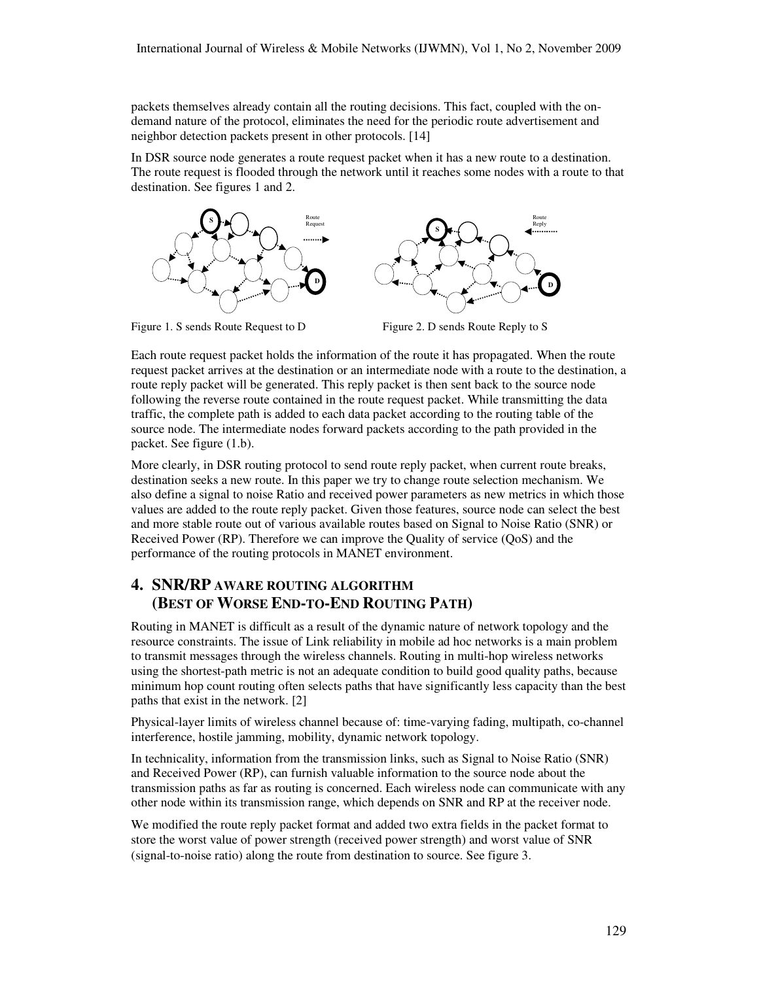packets themselves already contain all the routing decisions. This fact, coupled with the ondemand nature of the protocol, eliminates the need for the periodic route advertisement and neighbor detection packets present in other protocols. [14]

In DSR source node generates a route request packet when it has a new route to a destination. The route request is flooded through the network until it reaches some nodes with a route to that destination. See figures 1 and 2.





Figure 1. S sends Route Request to D Figure 2. D sends Route Reply to S

Each route request packet holds the information of the route it has propagated. When the route request packet arrives at the destination or an intermediate node with a route to the destination, a route reply packet will be generated. This reply packet is then sent back to the source node following the reverse route contained in the route request packet. While transmitting the data traffic, the complete path is added to each data packet according to the routing table of the source node. The intermediate nodes forward packets according to the path provided in the packet. See figure (1.b).

More clearly, in DSR routing protocol to send route reply packet, when current route breaks, destination seeks a new route. In this paper we try to change route selection mechanism. We also define a signal to noise Ratio and received power parameters as new metrics in which those values are added to the route reply packet. Given those features, source node can select the best and more stable route out of various available routes based on Signal to Noise Ratio (SNR) or Received Power (RP). Therefore we can improve the Quality of service (QoS) and the performance of the routing protocols in MANET environment.

# **4. SNR/RP AWARE ROUTING ALGORITHM (BEST OF WORSE END-TO-END ROUTING PATH)**

Routing in MANET is difficult as a result of the dynamic nature of network topology and the resource constraints. The issue of Link reliability in mobile ad hoc networks is a main problem to transmit messages through the wireless channels. Routing in multi-hop wireless networks using the shortest-path metric is not an adequate condition to build good quality paths, because minimum hop count routing often selects paths that have significantly less capacity than the best paths that exist in the network. [2]

Physical-layer limits of wireless channel because of: time-varying fading, multipath, co-channel interference, hostile jamming, mobility, dynamic network topology.

In technicality, information from the transmission links, such as Signal to Noise Ratio (SNR) and Received Power (RP), can furnish valuable information to the source node about the transmission paths as far as routing is concerned. Each wireless node can communicate with any other node within its transmission range, which depends on SNR and RP at the receiver node.

We modified the route reply packet format and added two extra fields in the packet format to store the worst value of power strength (received power strength) and worst value of SNR (signal-to-noise ratio) along the route from destination to source. See figure 3.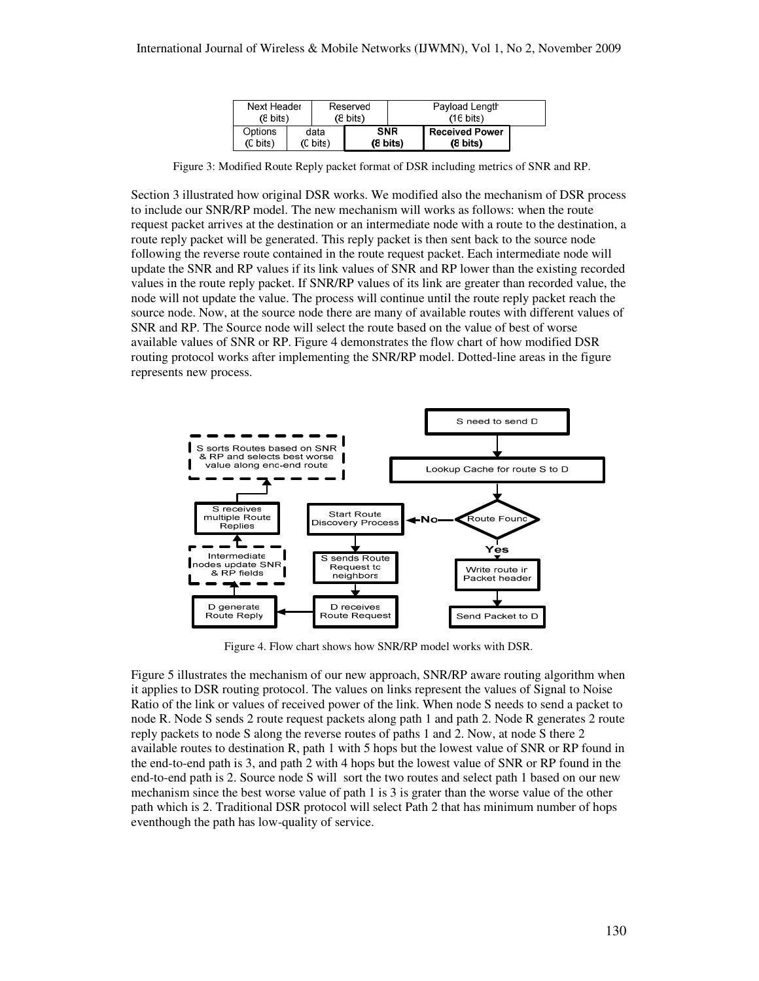| Next Header        |          | Reserved           |                    | Payload Length      |                       |  |
|--------------------|----------|--------------------|--------------------|---------------------|-----------------------|--|
| $(8 \text{ bits})$ |          | $(8 \text{ bits})$ |                    | $(16 \text{ bits})$ |                       |  |
| Options            | data     |                    | <b>SNR</b>         |                     | <b>Received Power</b> |  |
| (C bits)           | (C bits) |                    | $(8 \text{ bits})$ |                     | $(8 \text{ bits})$    |  |

Figure 3: Modified Route Reply packet format of DSR including metrics of SNR and RP.

Section 3 illustrated how original DSR works. We modified also the mechanism of DSR process to include our SNR/RP model. The new mechanism will works as follows: when the route request packet arrives at the destination or an intermediate node with a route to the destination, a route reply packet will be generated. This reply packet is then sent back to the source node following the reverse route contained in the route request packet. Each intermediate node will update the SNR and RP values if its link values of SNR and RP lower than the existing recorded values in the route reply packet. If SNR/RP values of its link are greater than recorded value, the node will not update the value. The process will continue until the route reply packet reach the source node. Now, at the source node there are many of available routes with different values of SNR and RP. The Source node will select the route based on the value of best of worse available values of SNR or RP. Figure 4 demonstrates the flow chart of how modified DSR routing protocol works after implementing the SNR/RP model. Dotted-line areas in the figure represents new process.



Figure 4. Flow chart shows how SNR/RP model works with DSR.

Figure 5 illustrates the mechanism of our new approach, SNR/RP aware routing algorithm when it applies to DSR routing protocol. The values on links represent the values of Signal to Noise Ratio of the link or values of received power of the link. When node S needs to send a packet to node R. Node S sends 2 route request packets along path 1 and path 2. Node R generates 2 route reply packets to node S along the reverse routes of paths 1 and 2. Now, at node S there 2 available routes to destination R, path 1 with 5 hops but the lowest value of SNR or RP found in the end-to-end path is 3, and path 2 with 4 hops but the lowest value of SNR or RP found in the end-to-end path is 2. Source node S will sort the two routes and select path 1 based on our new mechanism since the best worse value of path 1 is 3 is grater than the worse value of the other path which is 2. Traditional DSR protocol will select Path 2 that has minimum number of hops eventhough the path has low-quality of service.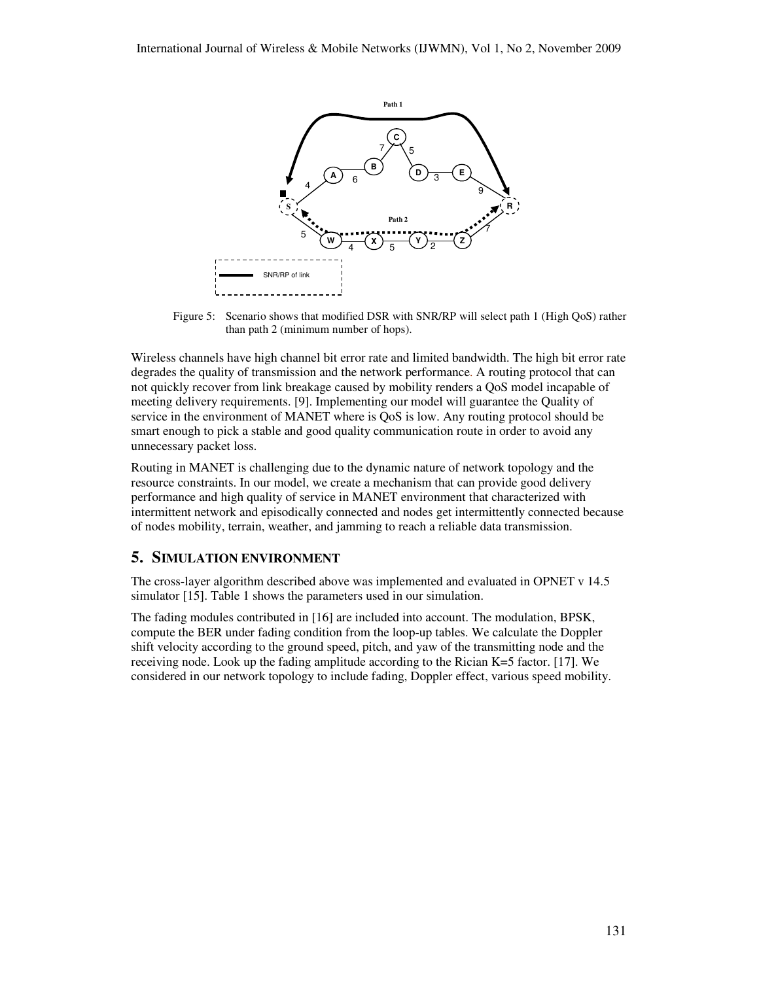

Figure 5: Scenario shows that modified DSR with SNR/RP will select path 1 (High QoS) rather than path 2 (minimum number of hops).

Wireless channels have high channel bit error rate and limited bandwidth. The high bit error rate degrades the quality of transmission and the network performance. A routing protocol that can not quickly recover from link breakage caused by mobility renders a QoS model incapable of meeting delivery requirements. [9]. Implementing our model will guarantee the Quality of service in the environment of MANET where is QoS is low. Any routing protocol should be smart enough to pick a stable and good quality communication route in order to avoid any unnecessary packet loss.

Routing in MANET is challenging due to the dynamic nature of network topology and the resource constraints. In our model, we create a mechanism that can provide good delivery performance and high quality of service in MANET environment that characterized with intermittent network and episodically connected and nodes get intermittently connected because of nodes mobility, terrain, weather, and jamming to reach a reliable data transmission.

## **5. SIMULATION ENVIRONMENT**

The cross-layer algorithm described above was implemented and evaluated in OPNET v 14.5 simulator [15]. Table 1 shows the parameters used in our simulation.

The fading modules contributed in [16] are included into account. The modulation, BPSK, compute the BER under fading condition from the loop-up tables. We calculate the Doppler shift velocity according to the ground speed, pitch, and yaw of the transmitting node and the receiving node. Look up the fading amplitude according to the Rician K=5 factor. [17]. We considered in our network topology to include fading, Doppler effect, various speed mobility.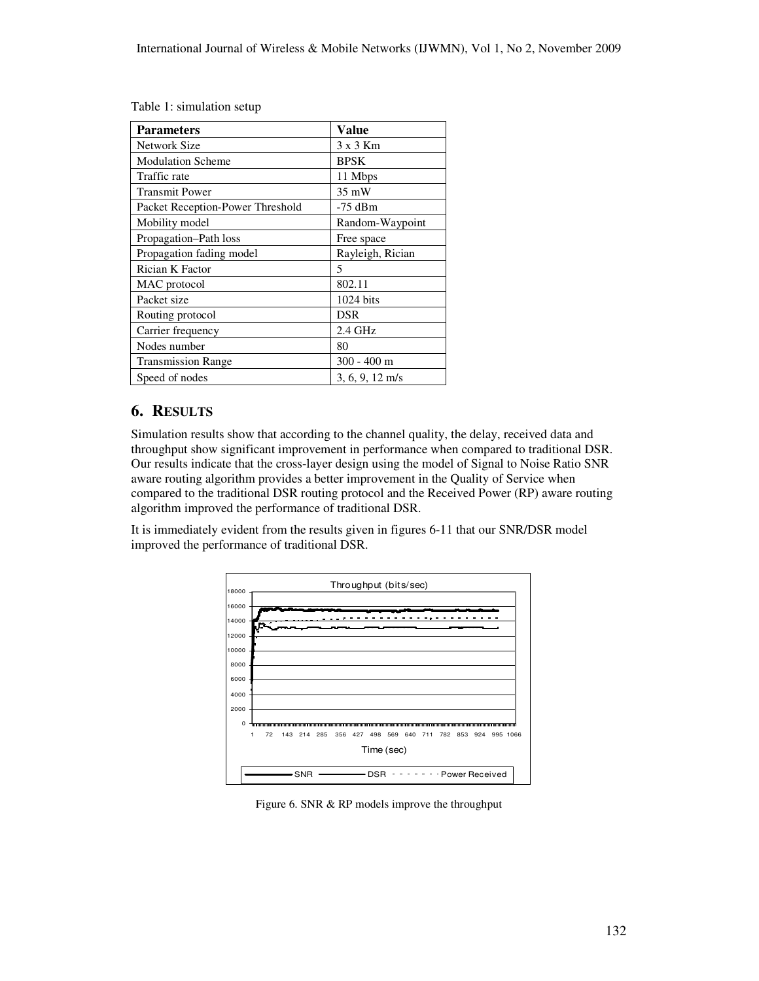|  |  |  |  | Table 1: simulation setup |
|--|--|--|--|---------------------------|
|--|--|--|--|---------------------------|

| <b>Parameters</b>                | <b>Value</b>              |  |
|----------------------------------|---------------------------|--|
| Network Size                     | $3 \times 3$ Km           |  |
| <b>Modulation Scheme</b>         | <b>BPSK</b>               |  |
| Traffic rate                     | 11 Mbps                   |  |
| <b>Transmit Power</b>            | 35 mW                     |  |
| Packet Reception-Power Threshold | $-75$ dBm                 |  |
| Mobility model                   | Random-Waypoint           |  |
| Propagation–Path loss            | Free space                |  |
| Propagation fading model         | Rayleigh, Rician          |  |
| Rician K Factor                  | 5                         |  |
| MAC protocol                     | 802.11                    |  |
| Packet size                      | $1024 \text{ bits}$       |  |
| Routing protocol                 | DSR                       |  |
| Carrier frequency                | $2.4$ GHz                 |  |
| Nodes number                     | 80                        |  |
| <b>Transmission Range</b>        | $300 - 400$ m             |  |
| Speed of nodes                   | $3, 6, 9, 12 \text{ m/s}$ |  |

# **6. RESULTS**

Simulation results show that according to the channel quality, the delay, received data and throughput show significant improvement in performance when compared to traditional DSR. Our results indicate that the cross-layer design using the model of Signal to Noise Ratio SNR aware routing algorithm provides a better improvement in the Quality of Service when compared to the traditional DSR routing protocol and the Received Power (RP) aware routing algorithm improved the performance of traditional DSR.

It is immediately evident from the results given in figures 6-11 that our SNR/DSR model improved the performance of traditional DSR.



Figure 6. SNR & RP models improve the throughput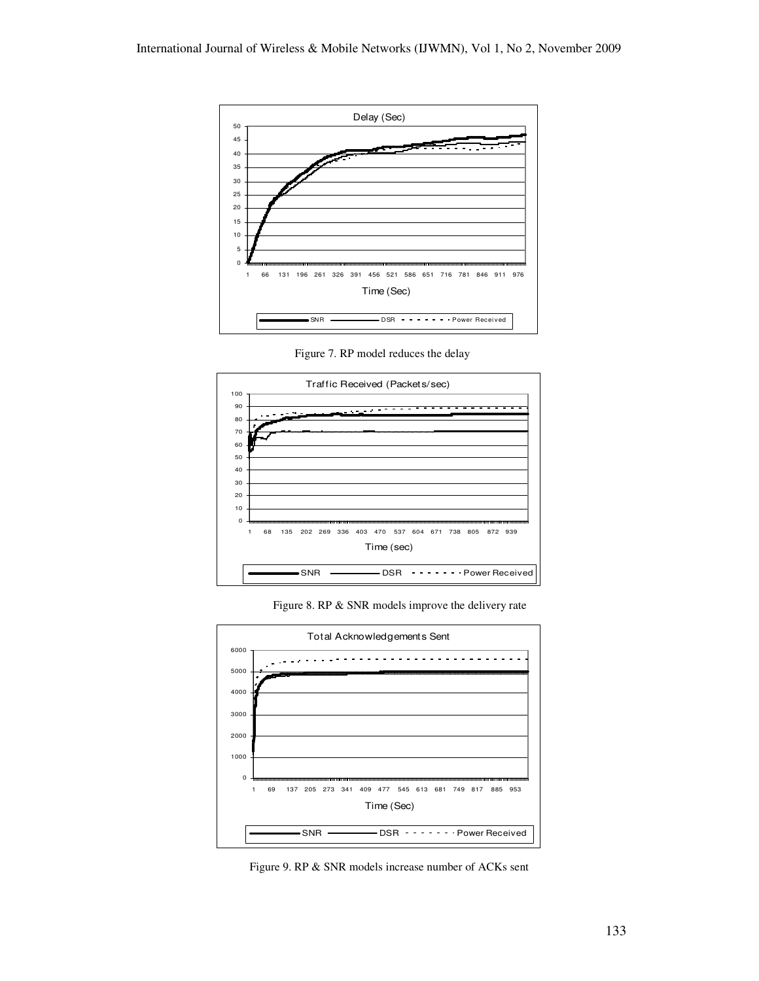

Figure 7. RP model reduces the delay



Figure 8. RP & SNR models improve the delivery rate



Figure 9. RP & SNR models increase number of ACKs sent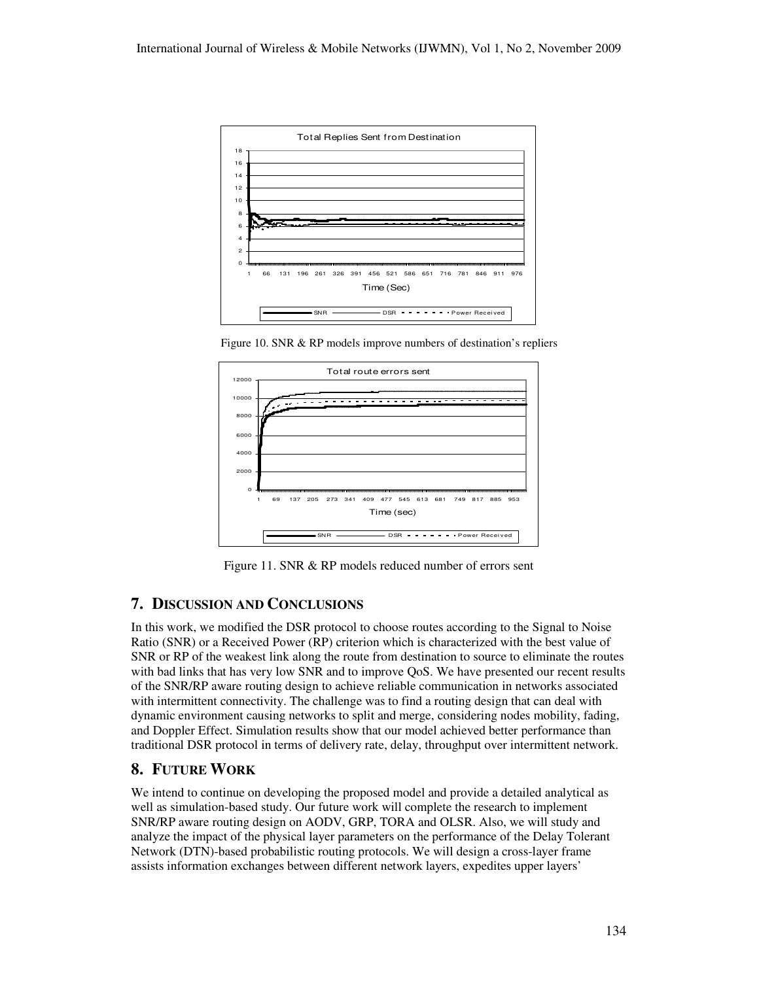

Figure 10. SNR & RP models improve numbers of destination's repliers



Figure 11. SNR & RP models reduced number of errors sent

## **7. DISCUSSION AND CONCLUSIONS**

In this work, we modified the DSR protocol to choose routes according to the Signal to Noise Ratio (SNR) or a Received Power (RP) criterion which is characterized with the best value of SNR or RP of the weakest link along the route from destination to source to eliminate the routes with bad links that has very low SNR and to improve QoS. We have presented our recent results of the SNR/RP aware routing design to achieve reliable communication in networks associated with intermittent connectivity. The challenge was to find a routing design that can deal with dynamic environment causing networks to split and merge, considering nodes mobility, fading, and Doppler Effect. Simulation results show that our model achieved better performance than traditional DSR protocol in terms of delivery rate, delay, throughput over intermittent network.

## **8. FUTURE WORK**

We intend to continue on developing the proposed model and provide a detailed analytical as well as simulation-based study. Our future work will complete the research to implement SNR/RP aware routing design on AODV, GRP, TORA and OLSR. Also, we will study and analyze the impact of the physical layer parameters on the performance of the Delay Tolerant Network (DTN)-based probabilistic routing protocols. We will design a cross-layer frame assists information exchanges between different network layers, expedites upper layers'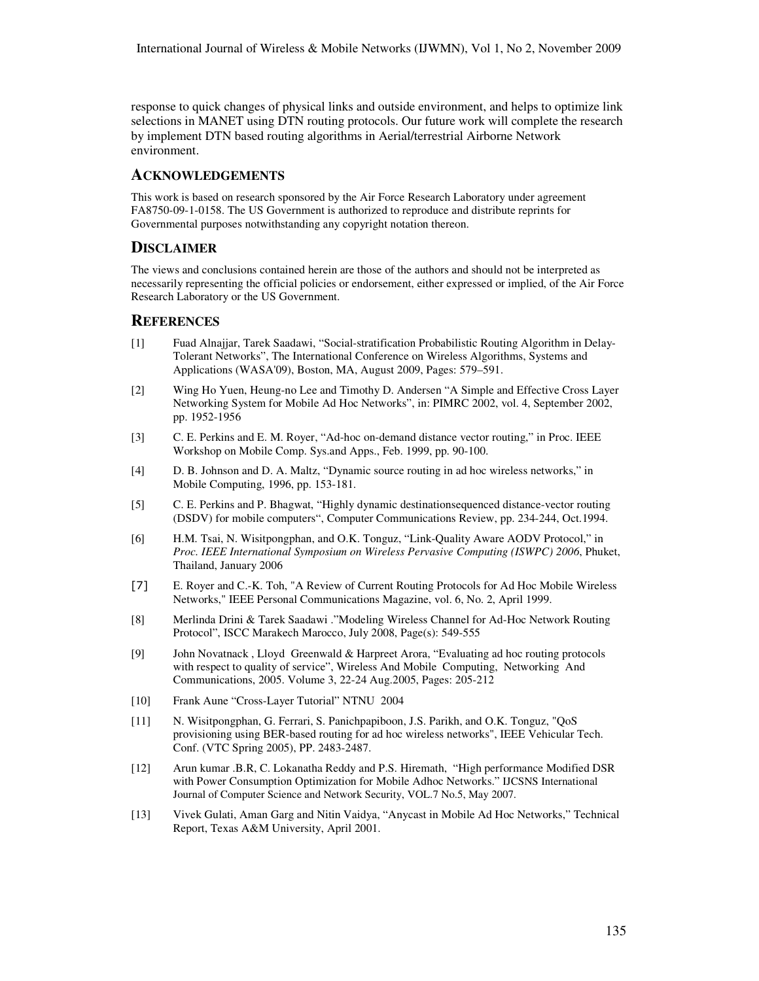response to quick changes of physical links and outside environment, and helps to optimize link selections in MANET using DTN routing protocols. Our future work will complete the research by implement DTN based routing algorithms in Aerial/terrestrial Airborne Network environment.

#### **ACKNOWLEDGEMENTS**

This work is based on research sponsored by the Air Force Research Laboratory under agreement FA8750-09-1-0158. The US Government is authorized to reproduce and distribute reprints for Governmental purposes notwithstanding any copyright notation thereon.

## **DISCLAIMER**

The views and conclusions contained herein are those of the authors and should not be interpreted as necessarily representing the official policies or endorsement, either expressed or implied, of the Air Force Research Laboratory or the US Government.

## **REFERENCES**

- [1] Fuad Alnajjar, Tarek Saadawi, "Social-stratification Probabilistic Routing Algorithm in Delay-Tolerant Networks", The International Conference on Wireless Algorithms, Systems and Applications (WASA'09), Boston, MA, August 2009, Pages: 579–591.
- [2] Wing Ho Yuen, Heung-no Lee and Timothy D. Andersen "A Simple and Effective Cross Layer Networking System for Mobile Ad Hoc Networks", in: PIMRC 2002, vol. 4, September 2002, pp. 1952-1956
- [3] C. E. Perkins and E. M. Royer, "Ad-hoc on-demand distance vector routing," in Proc. IEEE Workshop on Mobile Comp. Sys.and Apps., Feb. 1999, pp. 90-100.
- [4] D. B. Johnson and D. A. Maltz, "Dynamic source routing in ad hoc wireless networks," in Mobile Computing, 1996, pp. 153-181.
- [5] C. E. Perkins and P. Bhagwat, "Highly dynamic destinationsequenced distance-vector routing (DSDV) for mobile computers", Computer Communications Review, pp. 234-244, Oct.1994.
- [6] H.M. Tsai, N. Wisitpongphan, and O.K. Tonguz, "Link-Quality Aware AODV Protocol," in *Proc. IEEE International Symposium on Wireless Pervasive Computing (ISWPC) 2006*, Phuket, Thailand, January 2006
- [7] E. Royer and C.-K. Toh, "A Review of Current Routing Protocols for Ad Hoc Mobile Wireless Networks," IEEE Personal Communications Magazine, vol. 6, No. 2, April 1999.
- [8] Merlinda Drini & Tarek Saadawi ."Modeling Wireless Channel for Ad-Hoc Network Routing Protocol", ISCC Marakech Marocco, July 2008, Page(s): 549-555
- [9] John Novatnack , Lloyd Greenwald & Harpreet Arora, "Evaluating ad hoc routing protocols with respect to quality of service", Wireless And Mobile Computing, Networking And Communications, 2005. Volume 3, 22-24 Aug.2005, Pages: 205-212
- [10] Frank Aune "Cross-Layer Tutorial" NTNU 2004
- [11] N. Wisitpongphan, G. Ferrari, S. Panichpapiboon, J.S. Parikh, and O.K. Tonguz, "QoS provisioning using BER-based routing for ad hoc wireless networks", IEEE Vehicular Tech. Conf. (VTC Spring 2005), PP. 2483-2487.
- [12] Arun kumar .B.R, C. Lokanatha Reddy and P.S. Hiremath, "High performance Modified DSR with Power Consumption Optimization for Mobile Adhoc Networks." IJCSNS International Journal of Computer Science and Network Security, VOL.7 No.5, May 2007.
- [13] Vivek Gulati, Aman Garg and Nitin Vaidya, "Anycast in Mobile Ad Hoc Networks," Technical Report, Texas A&M University, April 2001.